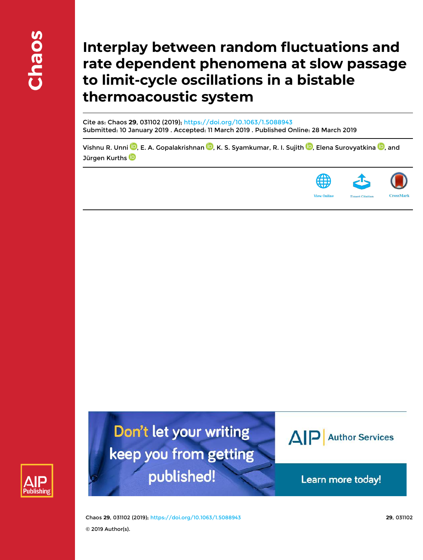# **Interplay between random fluctuations and rate dependent phenomena at slow passage to limit-cycle oscillations in a bistable thermoacoustic system**

Cite as: Chaos **29**, 031102 (2019); https://doi.org/10.1063/1.5088943 Submitted: 10 January 2019 . Accepted: 11 March 2019 . Published Online: 28 March 2019

Vishnu R. Unni **D**, E. A. Gopalakrishnan **D**, K. S. Syamkumar, R. I. Sujith **D**, Elena Surovyatkina **D**, and Jürgen Kurths





Don't let your writing keep you from getting published!



Learn more today!

Chaos **29**, 031102 (2019); https://doi.org/10.1063/1.5088943 **29**, 031102 © 2019 Author(s).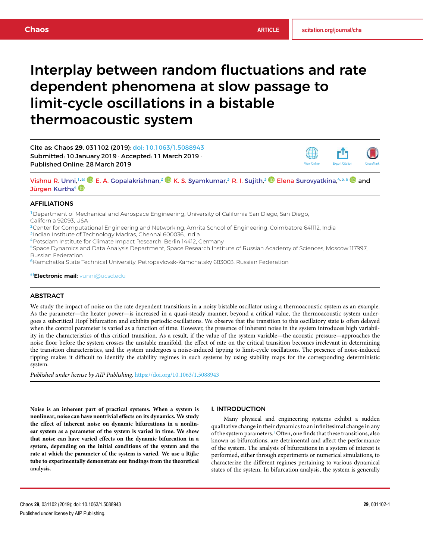## Interplay between random fluctuations and rate dependent phenomena at slow passage to limit-cycle oscillations in a bistable thermoacoustic system

Cite as: Chaos **29**, 031102 (2019); doi: 10.1063/1.5088943 Submitted: 10 January 2019 · Accepted: 11 March 2019 · Published Online: 28 March 2019

Vishnu R. Unni,<sup>1,a)</sup> (@ E. A. Gopalakrishnan,<sup>2</sup> (@ K. S. Syamkumar,<sup>3</sup> R. I. Sujith,<sup>3</sup> (@ Elena Surovyatkina,<sup>4,5,6</sup> (@ and Jürgen Kurths<sup>4</sup>

### AFFILIATIONS

<sup>1</sup> Department of Mechanical and Aerospace Engineering, University of California San Diego, San Diego, California 92093, USA

<sup>2</sup>Center for Computational Engineering and Networking, Amrita School of Engineering, Coimbatore 641112, India

<sup>3</sup>Indian Institute of Technology Madras, Chennai 600036, India

<sup>4</sup>Potsdam Institute for Climate Impact Research, Berlin 14412, Germany

<sup>5</sup>Space Dynamics and Data Analysis Department, Space Research Institute of Russian Academy of Sciences, Moscow 117997, Russian Federation

<sup>6</sup>Kamchatka State Technical University, Petropavlovsk-Kamchatsky 683003, Russian Federation

a)**Electronic mail:** vunni@ucsd.edu

### ABSTRACT

We study the impact of noise on the rate dependent transitions in a noisy bistable oscillator using a thermoacoustic system as an example. As the parameter—the heater power—is increased in a quasi-steady manner, beyond a critical value, the thermoacoustic system undergoes a subcritical Hopf bifurcation and exhibits periodic oscillations. We observe that the transition to this oscillatory state is often delayed when the control parameter is varied as a function of time. However, the presence of inherent noise in the system introduces high variability in the characteristics of this critical transition. As a result, if the value of the system variable—the acoustic pressure—approaches the noise floor before the system crosses the unstable manifold, the effect of rate on the critical transition becomes irrelevant in determining the transition characteristics, and the system undergoes a noise-induced tipping to limit-cycle oscillations. The presence of noise-induced tipping makes it difficult to identify the stability regimes in such systems by using stability maps for the corresponding deterministic system.

*Published under license by AIP Publishing.* https://doi.org/10.1063/1.5088943

**Noise is an inherent part of practical systems. When a system is nonlinear, noise can have nontrivial effects on its dynamics. We study the effect of inherent noise on dynamic bifurcations in a nonlinear system as a parameter of the system is varied in time. We show that noise can have varied effects on the dynamic bifurcation in a system, depending on the initial conditions of the system and the rate at which the parameter of the system is varied. We use a Rijke tube to experimentally demonstrate our findings from the theoretical analysis.**

#### I. INTRODUCTION

Many physical and engineering systems exhibit a sudden qualitative change in their dynamics to an infinitesimal change in any of the system parameters.<sup>1</sup> Often, one finds that these transitions, also known as bifurcations, are detrimental and affect the performance of the system. The analysis of bifurcations in a system of interest is performed, either through experiments or numerical simulations, to characterize the different regimes pertaining to various dynamical states of the system. In bifurcation analysis, the system is generally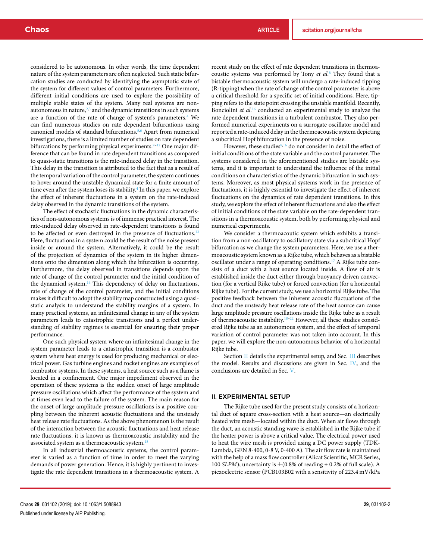considered to be autonomous. In other words, the time dependent nature of the system parameters are often neglected. Such static bifurcation studies are conducted by identifying the asymptotic state of the system for different values of control parameters. Furthermore, different initial conditions are used to explore the possibility of multiple stable states of the system. Many real systems are nonautonomous in nature, $^{2,3}$  and the dynamic transitions in such systems are a function of the rate of change of system's parameters.<sup>4</sup> We can find numerous studies on rate dependent bifurcations using canonical models of standard bifurcations.5,6 Apart from numerical investigations, there is a limited number of studies on rate dependent bifurcations by performing physical experiments.<sup>7-12</sup> One major difference that can be found in rate dependent transitions as compared to quasi-static transitions is the rate-induced delay in the transition. This delay in the transition is attributed to the fact that as a result of the temporal variation of the control parameter, the system continues to hover around the unstable dynamical state for a finite amount of time even after the system loses its stability.<sup>4</sup> In this paper, we explore the effect of inherent fluctuations in a system on the rate-induced delay observed in the dynamic transitions of the system.

The effect of stochastic fluctuations in the dynamic characteristics of non-autonomous systems is of immense practical interest. The rate-induced delay observed in rate-dependent transitions is found to be affected or even destroyed in the presence of fluctuations.<sup>13</sup> Here, fluctuations in a system could be the result of the noise present inside or around the system. Alternatively, it could be the result of the projection of dynamics of the system in its higher dimensions onto the dimension along which the bifurcation is occurring. Furthermore, the delay observed in transitions depends upon the rate of change of the control parameter and the initial condition of the dynamical system.<sup>14</sup> This dependency of delay on fluctuations, rate of change of the control parameter, and the initial conditions makes it difficult to adopt the stability map constructed using a quasistatic analysis to understand the stability margins of a system. In many practical systems, an infinitesimal change in any of the system parameters leads to catastrophic transitions and a perfect understanding of stability regimes is essential for ensuring their proper performance.

One such physical system where an infinitesimal change in the system parameter leads to a catastrophic transition is a combustor system where heat energy is used for producing mechanical or electrical power. Gas turbine engines and rocket engines are examples of combustor systems. In these systems, a heat source such as a flame is located in a confinement. One major impediment observed in the operation of these systems is the sudden onset of large amplitude pressure oscillations which affect the performance of the system and at times even lead to the failure of the system. The main reason for the onset of large amplitude pressure oscillations is a positive coupling between the inherent acoustic fluctuations and the unsteady heat release rate fluctuations. As the above phenomenon is the result of the interaction between the acoustic fluctuations and heat release rate fluctuations, it is known as thermoacoustic instability and the associated system as a thermoacoustic system.<sup>15</sup>

In all industrial thermoacoustic systems, the control parameter is varied as a function of time in order to meet the varying demands of power generation. Hence, it is highly pertinent to investigate the rate dependent transitions in a thermoacoustic system. A

recent study on the effect of rate dependent transitions in thermoacoustic systems was performed by Tony *et al.*<sup>8</sup> They found that a bistable thermoacoustic system will undergo a rate-induced tipping (R-tipping) when the rate of change of the control parameter is above a critical threshold for a specific set of initial conditions. Here, tipping refers to the state point crossing the unstable manifold. Recently, Bonciolini *et al.*<sup>16</sup> conducted an experimental study to analyze the rate dependent transitions in a turbulent combustor. They also performed numerical experiments on a surrogate oscillator model and reported a rate-induced delay in the thermoacoustic system depicting a subcritical Hopf bifurcation in the presence of noise.

However, these studies<sup>8,16</sup> do not consider in detail the effect of initial conditions of the state variable and the control parameter. The systems considered in the aforementioned studies are bistable systems, and it is important to understand the influence of the initial conditions on characteristics of the dynamic bifurcation in such systems. Moreover, as most physical systems work in the presence of fluctuations, it is highly essential to investigate the effect of inherent fluctuations on the dynamics of rate dependent transitions. In this study, we explore the effect of inherent fluctuations and also the effect of initial conditions of the state variable on the rate-dependent transitions in a thermoacoustic system, both by performing physical and numerical experiments.

We consider a thermoacoutic system which exhibits a transition from a non-oscillatory to oscillatory state via a subcritical Hopf bifurcation as we change the system parameters. Here, we use a thermoacoustic system known as a Rijke tube, which behaves as a bistable oscillator under a range of operating conditions.<sup>17</sup> A Rijke tube consists of a duct with a heat source located inside. A flow of air is established inside the duct either through buoyancy driven convection (for a vertical Rijke tube) or forced convection (for a horizontal Rijke tube). For the current study, we use a horizontal Rijke tube. The positive feedback between the inherent acoustic fluctuations of the duct and the unsteady heat release rate of the heat source can cause large amplitude pressure oscillations inside the Rijke tube as a result of thermoacoustic instability.<sup>18-22</sup> However, all these studies considered Rijke tube as an autonomous system, and the effect of temporal variation of control parameter was not taken into account. In this paper, we will explore the non-autonomous behavior of a horizontal Rijke tube.

Section II details the experimental setup, and Sec. III describes the model. Results and discussions are given in Sec. IV, and the conclusions are detailed in Sec. V.

#### II. EXPERIMENTAL SETUP

The Rijke tube used for the present study consists of a horizontal duct of square cross-section with a heat source—an electrically heated wire mesh—located within the duct. When air flows through the duct, an acoustic standing wave is established in the Rijke tube if the heater power is above a critical value. The electrical power used to heat the wire mesh is provided using a DC power supply (TDK-Lambda, GEN 8-400, 0-8 V, 0-400 A). The air flow rate is maintained with the help of a mass flow controller (Alicat Scientific, MCR Series, 100 *SLPM*); uncertainty is  $\pm$ (0.8% of reading + 0.2% of full scale). A piezoelectric sensor (PCB103B02 with a sensitivity of 223.4 mV/kPa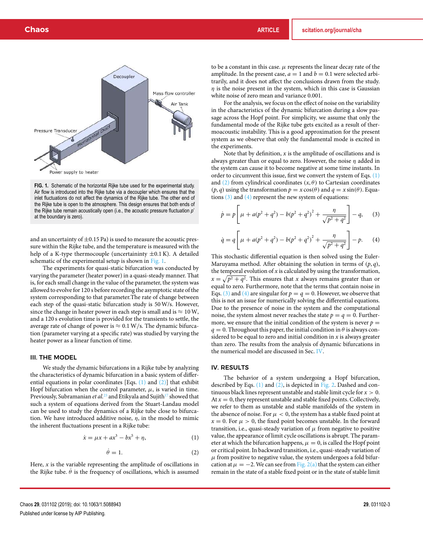

**FIG. 1.** Schematic of the horizontal Rijke tube used for the experimental study. Air flow is introduced into the Rijke tube via a decoupler which ensures that the inlet fluctuations do not affect the dynamics of the Rijke tube. The other end of the Rijke tube is open to the atmosphere. This design ensures that both ends of the Rijke tube remain acoustically open (i.e., the acoustic pressure fluctuation *p* ′ at the boundary is zero).

and an uncertainty of  $\pm$ 0.15 Pa) is used to measure the acoustic pressure within the Rijke tube, and the temperature is measured with the help of a K-type thermocouple (uncertaininty  $\pm 0.1$  K). A detailed schematic of the experimental setup is shown in Fig. 1.

The experiments for quasi-static bifurcation was conducted by varying the parameter (heater power) in a quasi-steady manner. That is, for each small change in the value of the parameter, the system was allowed to evolve for 120 s before recording the asymptotic state of the system corresponding to that parameter.The rate of change between each step of the quasi-static bifurcation study is 50 W/s. However, since the change in heater power in each step is small and is  $\approx 10 \,\mathrm{W}$ , and a 120 s evolution time is provided for the transients to settle, the average rate of change of power is  $\approx 0.1 \,\mathrm{W/s}$ . The dynamic bifurcation (parameter varying at a specific rate) was studied by varying the heater power as a linear function of time.

### III. THE MODEL

We study the dynamic bifurcations in a Rijke tube by analyzing the characteristics of dynamic bifurcation in a basic system of differential equations in polar coordinates [Eqs.  $(1)$  and  $(2)$ ] that exhibit Hopf bifurcation when the control parameter,  $\mu$ , is varied in time. Previously, Subramanian *et al.*<sup>23</sup> and Etikyala and Sujith<sup>17</sup> showed that such a system of equations derived from the Stuart-Landau model can be used to study the dynamics of a Rijke tube close to bifurcation. We have introduced additive noise,  $\eta$ , in the model to mimic the inherent fluctuations present in a Rijke tube:

$$
\dot{x} = \mu x + a x^3 - b x^5 + \eta,\tag{1}
$$

$$
\dot{\theta} = 1. \tag{2}
$$

Here,  $x$  is the variable representing the amplitude of oscillations in the Rijke tube.  $\dot{\theta}$  is the frequency of oscillations, which is assumed to be a constant in this case.  $\mu$  represents the linear decay rate of the amplitude. In the present case,  $a = 1$  and  $b = 0.1$  were selected arbitrarily, and it does not affect the conclusions drawn from the study.  $\eta$  is the noise present in the system, which in this case is Gaussian white noise of zero mean and variance 0.001.

For the analysis, we focus on the effect of noise on the variability in the characteristics of the dynamic bifurcation during a slow passage across the Hopf point. For simplicity, we assume that only the fundamental mode of the Rijke tube gets excited as a result of thermoacoustic instability. This is a good approximation for the present system as we observe that only the fundamental mode is excited in the experiments.

Note that by definition,  $x$  is the amplitude of oscillations and is always greater than or equal to zero. However, the noise  $\eta$  added in the system can cause it to become negative at some time instants. In order to circumvent this issue, first we convert the system of Eqs. (1) and  $(2)$  from cylindrical coordinates  $(x, \theta)$  to Cartesian coordinates (*p*, *q*) using the transformation  $p = x \cos(\theta)$  and  $q = x \sin(\theta)$ . Equations  $(3)$  and  $(4)$  represent the new system of equations:

$$
\dot{p} = p \left[ \mu + a(p^2 + q^2) - b(p^2 + q^2)^2 + \frac{\eta}{\sqrt{p^2 + q^2}} \right] - q, \quad (3)
$$

$$
\dot{q} = q \left[ \mu + a(p^2 + q^2) - b(p^2 + q^2)^2 + \frac{\eta}{\sqrt{p^2 + q^2}} \right] - p. \tag{4}
$$

This stochastic differential equation is then solved using the Euler-Maruyama method. After obtaining the solution in terms of (*p*, *q*), the temporal evolution of *x* is calculated by using the transformation,  $x = \sqrt{p^2 + q^2}$ . This ensures that *x* always remains greater than or equal to zero. Furthermore, note that the terms that contain noise in Eqs. (3) and (4) are singular for  $p = q = 0$ . However, we observe that this is not an issue for numerically solving the differential equations. Due to the presence of noise in the system and the computational noise, the system almost never reaches the state  $p = q = 0$ . Furthermore, we ensure that the initial condition of the system is never  $p =$  $q = 0$ . Throughout this paper, the initial condition in  $\theta$  is always considered to be equal to zero and initial condition in *x* is always greater than zero. The results from the analysis of dynamic bifurcations in the numerical model are discussed in Sec. IV.

### IV. RESULTS

The behavior of a system undergoing a Hopf bifurcation, described by Eqs.  $(1)$  and  $(2)$ , is depicted in Fig. 2. Dashed and continuous black lines represent unstable and stable limit cycle for  $x > 0$ . At  $x = 0$ , they represent unstable and stable fixed points. Collectively, we refer to them as unstable and stable manifolds of the system in the absence of noise. For  $\mu < 0$ , the system has a stable fixed point at  $x = 0$ . For  $\mu > 0$ , the fixed point becomes unstable. In the forward transition, i.e., quasi-steady variation of  $\mu$  from negative to positive value, the appearance of limit cycle oscillations is abrupt. The parameter at which the bifurcation happens,  $\mu = 0$ , is called the Hopf point or critical point. In backward transition, i.e., quasi-steady variation of  $\mu$  from positive to negative value, the system undergoes a fold bifurcation at  $\mu = -2$ . We can see from Fig. 2(a) that the system can either remain in the state of a stable fixed point or in the state of stable limit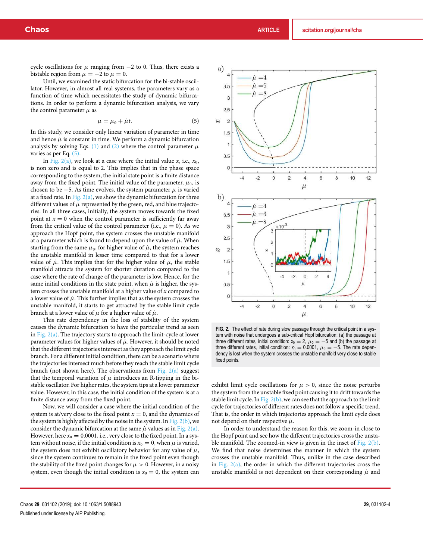cycle oscillations for  $\mu$  ranging from  $-2$  to 0. Thus, there exists a bistable region from  $\mu = -2$  to  $\mu = 0$ .

Until, we examined the static bifurcation for the bi-stable oscillator. However, in almost all real systems, the parameters vary as a function of time which necessitates the study of dynamic bifurcations. In order to perform a dynamic bifurcation analysis, we vary the control parameter  $\mu$  as

$$
\mu = \mu_0 + \dot{\mu}t. \tag{5}
$$

In this study, we consider only linear variation of parameter in time and hence  $\mu$  is constant in time. We perform a dynamic bifurcation analysis by solving Eqs. (1) and (2) where the control parameter  $\mu$ varies as per Eq. (5).

In Fig.  $2(a)$ , we look at a case where the initial value *x*, i.e.,  $x_0$ , is non zero and is equal to 2. This implies that in the phase space corresponding to the system, the initial state point is a finite distance away from the fixed point. The initial value of the parameter,  $\mu_0$ , is chosen to be  $-5$ . As time evolves, the system parameter  $\mu$  is varied at a fixed rate. In Fig.  $2(a)$ , we show the dynamic bifurcation for three different values of  $\mu$  represented by the green, red, and blue trajectories. In all three cases, initially, the system moves towards the fixed point at  $x = 0$  when the control parameter is sufficiently far away from the critical value of the control parameter (i.e.,  $\mu = 0$ ). As we approach the Hopf point, the system crosses the unstable manifold at a parameter which is found to depend upon the value of  $\mu$ . When starting from the same  $\mu_0$ , for higher value of  $\mu$ , the system reaches the unstable manifold in lesser time compared to that for a lower value of  $\mu$ . This implies that for the higher value of  $\mu$ , the stable manifold attracts the system for shorter duration compared to the case where the rate of change of the parameter is low. Hence, for the same initial conditions in the state point, when  $\mu$  is higher, the system crosses the unstable manifold at a higher value of *x* compared to a lower value of  $\mu$ . This further implies that as the system crosses the unstable manifold, it starts to get attracted by the stable limit cycle branch at a lower value of  $\mu$  for a higher value of  $\mu$ .

This rate dependency in the loss of stability of the system causes the dynamic bifurcation to have the particular trend as seen in Fig.  $2(a)$ . The trajectory starts to approach the limit-cycle at lower parameter values for higher values of  $\mu$ . However, it should be noted that the different trajectories intersect as they approach the limit cycle branch. For a different initial condition, there can be a scenario where the trajectories intersect much before they reach the stable limit cycle branch (not shown here). The observations from Fig.  $2(a)$  suggest that the temporal variation of  $\mu$  introduces an R-tipping in the bistable oscillator. For higher rates, the system tips at a lower parameter value. However, in this case, the initial condition of the system is at a finite distance away from the fixed point.

Now, we will consider a case where the initial condition of the system is at/very close to the fixed point  $x = 0$ , and the dynamics of the system is highly affected by the noise in the system. In Fig.  $2(b)$ , we consider the dynamic bifurcation at the same  $\mu$  values as in Fig. 2(a). However, here  $x_0 = 0.0001$ , i.e., very close to the fixed point. In a system without noise, if the initial condition is  $x_0 = 0$ , when  $\mu$  is varied, the system does not exhibit oscillatory behavior for any value of  $\mu$ , since the system continues to remain in the fixed point even though the stability of the fixed point changes for  $\mu > 0$ . However, in a noisy system, even though the initial condition is  $x_0 = 0$ , the system can



**FIG. 2.** The effect of rate during slow passage through the critical point in a system with noise that undergoes a sub-critical Hopf bifurcation: (a) the passage at three different rates, initial condition:  $x_0 = 2$ ,  $\mu_0 = -5$  and (b) the passage at three different rates, initial condition:  $x_0 = 0.0001$ ,  $\mu_0 = -5$ . The rate dependency is lost when the system crosses the unstable manifold very close to stable fixed points.

exhibit limit cycle oscillations for  $\mu > 0$ , since the noise perturbs the system from the unstable fixed point causing it to drift towards the stable limit cycle. In Fig.  $2(b)$ , we can see that the approach to the limit cycle for trajectories of different rates does not follow a specific trend. That is, the order in which trajectories approach the limit cycle does not depend on their respective  $\mu$ .

In order to understand the reason for this, we zoom-in close to the Hopf point and see how the different trajectories cross the unstable manifold. The zoomed-in view is given in the inset of Fig. 2(b). We find that noise determines the manner in which the system crosses the unstable manifold. Thus, unlike in the case described in Fig.  $2(a)$ , the order in which the different trajectories cross the unstable manifold is not dependent on their corresponding  $\mu$  and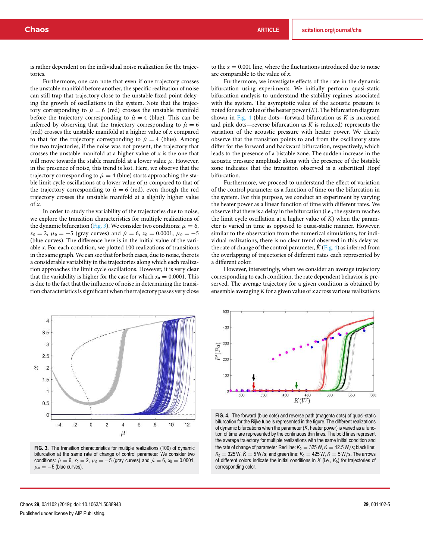is rather dependent on the individual noise realization for the trajectories.

Furthermore, one can note that even if one trajectory crosses the unstable manifold before another, the specific realization of noise can still trap that trajectory close to the unstable fixed point delaying the growth of oscillations in the system. Note that the trajectory corresponding to  $\mu = 6$  (red) crosses the unstable manifold before the trajectory corresponding to  $\mu = 4$  (blue). This can be inferred by observing that the trajectory corresponding to  $\mu = 6$ (red) crosses the unstable manifold at a higher value of *x* compared to that for the trajectory corresponding to  $\mu = 4$  (blue). Among the two trajectories, if the noise was not present, the trajectory that crosses the unstable manifold at a higher value of *x* is the one that will move towards the stable manifold at a lower value  $\mu$ . However, in the presence of noise, this trend is lost. Here, we observe that the trajectory corresponding to  $\mu = 4$  (blue) starts approaching the stable limit cycle oscillations at a lower value of  $\mu$  compared to that of the trajectory corresponding to  $\mu = 6$  (red), even though the red trajectory crosses the unstable manifold at a slightly higher value of *x*.

In order to study the variability of the trajectories due to noise, we explore the transition characteristics for multiple realizations of the dynamic bifurcation (Fig. 3). We consider two conditions:  $\dot{\mu} = 6$ ,  $x_0 = 2$ ,  $\mu_0 = -5$  (gray curves) and  $\mu = 6$ ,  $x_0 = 0.0001$ ,  $\mu_0 = -5$ (blue curves). The difference here is in the initial value of the variable *x*. For each condition, we plotted 100 realizations of transitions in the same graph.We can see that for both cases, due to noise, there is a considerable variability in the trajectories along which each realization approaches the limit cycle oscillations. However, it is very clear that the variability is higher for the case for which  $x_0 = 0.0001$ . This is due to the fact that the influence of noise in determining the transition characteristics is significant when the trajectory passes very close

to the  $x = 0.001$  line, where the fluctuations introduced due to noise are comparable to the value of *x*.

Furthermore, we investigate effects of the rate in the dynamic bifurcation using experiments. We initially perform quasi-static bifurcation analysis to understand the stability regimes associated with the system. The asymptotic value of the acoustic pressure is noted for each value of the heater power (*K*). The bifurcation diagram shown in Fig. 4 (blue dots—forward bifurcation as *K* is increased and pink dots—reverse bifurcation as *K* is reduced) represents the variation of the acoustic pressure with heater power. We clearly observe that the transition points to and from the oscillatory state differ for the forward and backward bifurcation, respectively, which leads to the presence of a bistable zone. The sudden increase in the acoustic pressure amplitude along with the presence of the bistable zone indicates that the transition observed is a subcritical Hopf bifurcation.

Furthermore, we proceed to understand the effect of variation of the control parameter as a function of time on the bifurcation in the system. For this purpose, we conduct an experiment by varying the heater power as a linear function of time with different rates. We observe that there is a delay in the bifurcation (i.e., the system reaches the limit cycle oscillation at a higher value of *K*) when the parameter is varied in time as opposed to quasi-static manner. However, similar to the observation from the numerical simulations, for individual realizations, there is no clear trend observed in this delay vs. the rate of change of the control parameter,  $\hat{K}$  (Fig. 4) as inferred from the overlapping of trajectories of different rates each represented by a different color.

However, interestingly, when we consider an average trajectory corresponding to each condition, the rate dependent behavior is preserved. The average trajectory for a given condition is obtained by ensemble averaging*K* for a given value of *x* across various realizations



**FIG. 3.** The transition characteristics for multiple realizations (100) of dynamic bifurcation at the same rate of change of control parameter. We consider two conditions:  $\mu = 6$ ,  $x_0 = 2$ ,  $\mu_0 = -5$  (gray curves) and  $\mu = 6$ ,  $x_0 = 0.0001$ ,  $\mu_0 = -5$  (blue curves).



**FIG. 4.** The forward (blue dots) and reverse path (magenta dots) of quasi-static bifurcation for the Rijke tube is represented in the figure. The different realizations of dynamic bifurcations when the parameter (*K*, heater power) is varied as a function of time are represented by the continuous thin lines. The bold lines represent the average trajectory for multiple realizations with the same initial condition and the rate of change of parameter. Red line:  $K_0 = 325 W$ ,  $K = 12.5 W/s$ ; black line:  $K_0 = 325$  W,  $K = 5$  W/s; and green line:  $K_0 = 425$  W,  $K = 5$  W/s. The arrows of different colors indicate the initial conditions in  $K$  (i.e.,  $K_0$ ) for trajectories of corresponding color.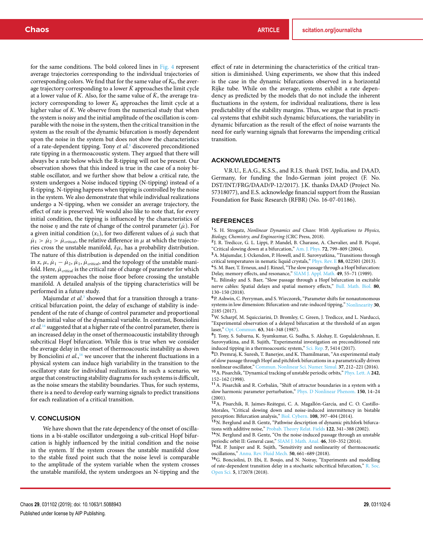for the same conditions. The bold colored lines in Fig. 4 represent average trajectories corresponding to the individual trajectories of corresponding colors. We find that for the same value of  $K_0$ , the average trajectory corresponding to a lower *K*˙ approaches the limit cycle at a lower value of  $K$ . Also, for the same value of  $K$ , the average trajectory corresponding to lower  $K_0$  approaches the limit cycle at a higher value of *K*. We observe from the numerical study that when the system is noisy and the initial amplitude of the oscillation is comparable with the noise in the system, then the critical transition in the system as the result of the dynamic bifurcation is mostly dependent upon the noise in the system but does not show the characteristics of a rate-dependent tipping. Tony *et al.*<sup>8</sup> discovered preconditioned rate tipping in a thermoacoustic system. They argued that there will always be a rate below which the R-tipping will not be present. Our observation shows that this indeed is true in the case of a noisy bistable oscillator, and we further show that below a critical rate, the system undergoes a Noise induced tipping (N-tipping) instead of a R-tipping. N-tipping happens when tipping is controlled by the noise in the system. We also demonstrate that while individual realizations undergo a N-tipping, when we consider an average trajectory, the effect of rate is preserved. We would also like to note that, for every initial condition, the tipping is influenced by the characteristics of the noise  $\eta$  and the rate of change of the control parameter ( $\dot{\mu}$ ). For a given initial condition  $(x_1)$ , for two different values of  $\mu$  such that  $\dot{\mu}_1 > \dot{\mu}_2 > \dot{\mu}_{critical}$ , the relative difference in  $\mu$  at which the trajectories cross the unstable manifold,  $\delta \mu$ , has a probability distribution. The nature of this distribution is depended on the initial condition in *x*,  $\mu$ ,  $\dot{\mu}_1 - \dot{\mu}_2$ ,  $\dot{\mu}_1$ ,  $\dot{\mu}_{critical}$ , and the topology of the unstable manifold. Here,  $\mu_{critical}$  is the critical rate of change of parameter for which the system approaches the noise floor before crossing the unstable manifold. A detailed analysis of the tipping characteristics will be performed in a future study.

Majumdar *et al.*<sup>3</sup> showed that for a transition through a transcritical bifurcation point, the delay of exchange of stability is independent of the rate of change of control parameter and proportional to the initial value of the dynamical variable. In contrast, Bonciolini *et al.*<sup>16</sup> suggested that at a higher rate of the control parameter, there is an increased delay in the onset of thermoacoustic instability through subcritical Hopf bifurcation. While this is true when we consider the average delay in the onset of thermoacoustic instability as shown by Bonciolini *et al.*, <sup>16</sup> we uncover that the inherent fluctuations in a physical system can induce high variability in the transition to the oscillatory state for individual realizations. In such a scenario, we argue that constructing stability diagrams for such systems is difficult, as the noise smears the stability boundaries. Thus, for such systems, there is a need to develop early warning signals to predict transitions for each realization of a critical transition.

### V. CONCLUSION

We have shown that the rate dependency of the onset of oscillations in a bi-stable oscillator undergoing a sub-critical Hopf bifurcation is highly influenced by the initial condition and the noise in the system. If the system crosses the unstable manifold close to the stable fixed point such that the noise level is comparable to the amplitude of the system variable when the system crosses the unstable manifold, the system undergoes an N-tipping and the effect of rate in determining the characteristics of the critical transition is diminished. Using experiments, we show that this indeed is the case in the dynamic bifurcations observed in a horizontal Rijke tube. While on the average, systems exhibit a rate dependency as predicted by the models that do not include the inherent fluctuations in the system, for individual realizations, there is less predictability of the stability margins. Thus, we argue that in practical systems that exhibit such dynamic bifurcations, the variability in dynamic bifurcation as the result of the effect of noise warrants the need for early warning signals that forewarns the impending critical transition.

#### ACKNOWLEDGMENTS

V.R.U., E.A.G., K.S.S., and R.I.S. thank DST, India, and DAAD, Germany, for funding the Indo-German joint project (F. No. DST/INT/FRG/DAAD/P-12/2017). J.K. thanks DAAD (Project No. 57318077), and E.S. acknowledge financial support from the Russian Foundation for Basic Research (RFBR) (No. 16-07-01186).

#### **REFERENCES**

1 S. H. Strogatz, *Nonlinear Dynamics and Chaos: With Applications to Physics, Biology, Chemistry, and Engineering* (CRC Press, 2018).

2 J. R. Tredicce, G. L. Lippi, P. Mandel, B. Charasse, A. Chevalier, and B. Picqué, "Critical slowing down at a bifurcation," Am. J. Phys. **72**, 799–809 (2004).

 $\overline{{}^{\bf 3}{\rm A}}$ . Majumdar, J. Ockendon, P. Howell, and E. Surovyatkina, "Transitions through critical temperatures in nematic liquid crystals," Phys. Rev. E **88**, 022501 (2013). 4 S. M. Baer, T. Erneux, and J. Rinzel, "The slow passage through a Hopf bifurcation:

Delay, memory effects, and resonance," SIAM J. Appl. Math. **49**, 55–71 (1989).

<sup>5</sup>L. Bilinsky and S. Baer, "Slow passage through a Hopf bifurcation in excitable nerve cables: Spatial delays and spatial memory effects," Bull. Math. Biol. **80**, 130–150 (2018).

<sup>6</sup>P. Ashwin, C. Perryman, and S. Wieczorek, "Parameter shifts for nonautonomous systems in low dimension: Bifurcation-and rate-induced tipping," Nonlinearity **30**, 2185 (2017). <sup>7</sup>W. Scharpf, M. Squicciarini, D. Bromley, C. Green, J. Tredicce, and L. Narducci,

"Experimental observation of a delayed bifurcation at the threshold of an argon laser," Opt. Commun. **63**, 344–348 (1987).

8 J. Tony, S. Subarna, K. Syamkumar, G. Sudha, S. Akshay, E. Gopalakrishnan, E. Surovyatkina, and R. Sujith, "Experimental investigation on preconditioned rate induced tipping in a thermoacoustic system," Sci. Rep. **7**, 5414 (2017).

<sup>9</sup>D. Premraj, K. Suresh, T. Banerjee, and K. Thamilmaran, "An experimental study of slow passage through Hopf and pitchfork bifurcations in a parametrically driven nonlinear oscillator," Commun. Nonlinear Sci. Numer. Simul. **37**, 212–221 (2016). <sup>10</sup>A. Pisarchik, "Dynamical tracking of unstable periodic orbits," Phys. Lett. A **242**, 152–162 (1998).

 $^{11}\mathrm{A}$  Pisarchik and R. Corbalán, "Shift of attractor boundaries in a system with a slow harmonic parameter perturbation," Phys. D Nonlinear Phenom. **150**, 14–24 (2001).

<sup>12</sup>A. Pisarchik, R. Jaimes-Reátegui, C. A. Magallón-García, and C. O. Castillo-Morales, "Critical slowing down and noise-induced intermittency in bistable

perception: Bifurcation analysis," Biol. Cybern. **108**, 397–404 (2014).<br><sup>13</sup>N. Berglund and B. Gentz, "Pathwise description of dynamic pitchfork bifurcations with additive noise," Probab. Theory Relat. Fields **122**, 341–388 (2002).

<sup>14</sup>N. Berglund and B. Gentz, "On the noise-induced passage through an unstable periodic orbit II: General case," SIAM J. Math. Anal. **46**, 310–352 (2014). <sup>15</sup>M. P. Juniper and R. Sujith, "Sensitivity and nonlinearity of thermoacoustic

oscillations," Annu. Rev. Fluid Mech. **50**, 661–689 (2018).

<sup>16</sup>G. Bonciolini, D. Ebi, E. Boujo, and N. Noiray, "Experiments and modelling of rate-dependent transition delay in a stochastic subcritical bifurcation," R. Soc. Open Sci. **5**, 172078 (2018).